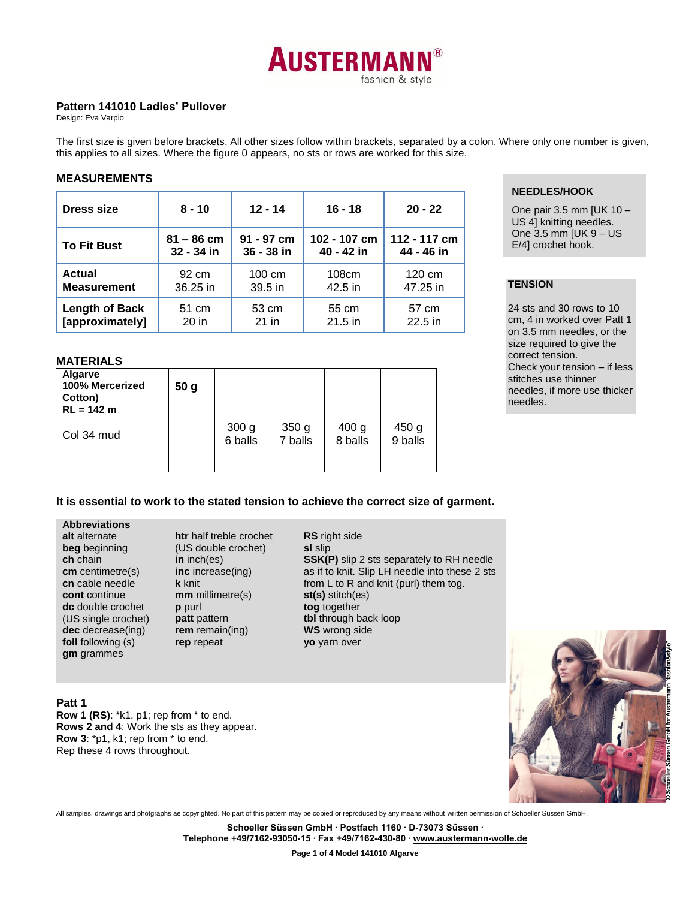

# **Pattern 141010 Ladies' Pullover**

Design: Eva Varpio

The first size is given before brackets. All other sizes follow within brackets, separated by a colon. Where only one number is given, this applies to all sizes. Where the figure 0 appears, no sts or rows are worked for this size.

# **MEASUREMENTS**

| <b>Dress size</b>     | $8 - 10$     | $12 - 14$  | $16 - 18$    | $20 - 22$    |
|-----------------------|--------------|------------|--------------|--------------|
| <b>To Fit Bust</b>    | $81 - 86$ cm | 91 - 97 cm | 102 - 107 cm | 112 - 117 cm |
|                       | 32 - 34 in   | 36 - 38 in | 40 - 42 in   | 44 - 46 in   |
| <b>Actual</b>         | 92 cm        | 100 cm     | 108cm        | 120 cm       |
| <b>Measurement</b>    | 36.25 in     | 39.5 in    | 42.5 in      | 47.25 in     |
| <b>Length of Back</b> | 51 cm        | 53 cm      | 55 cm        | 57 cm        |
| [approximately]       | $20$ in      | $21$ in    | $21.5$ in    | $22.5$ in    |

# **NEEDLES/HOOK**

One pair 3.5 mm [UK 10 – US 4] knitting needles. One 3.5 mm [UK 9 – US E/4] crochet hook.

# **TENSION**

24 sts and 30 rows to 10 cm, 4 in worked over Patt 1 on 3.5 mm needles, or the size required to give the correct tension. Check your tension – if less stitches use thinner needles, if more use thicker needles.

# **MATERIALS**

| Algarve<br>100% Mercerized<br>Cotton)<br>$RL = 142 m$ | 50 <sub>g</sub> |                             |                             |                             |                  |
|-------------------------------------------------------|-----------------|-----------------------------|-----------------------------|-----------------------------|------------------|
| Col 34 mud                                            |                 | 300 <sub>g</sub><br>6 balls | 350 <sub>g</sub><br>7 balls | 400 <sub>g</sub><br>8 balls | 450 g<br>9 balls |

# **It is essential to work to the stated tension to achieve the correct size of garment.**

**Abbreviations alt** alternate **beg** beginning

**ch** chain **cm** centimetre(s) **cn** cable needle **cont** continue **dc** double crochet (US single crochet) **dec** decrease(ing) **foll** following (s) **gm** grammes

**htr** half treble crochet (US double crochet) **in** inch(es) **inc** increase(ing) **k** knit **mm** millimetre(s) **p** purl **patt** pattern **rem** remain(ing) **rep** repeat

**RS** right side **sl** slip **SSK(P)** slip 2 sts separately to RH needle as if to knit. Slip LH needle into these 2 sts from L to R and knit (purl) them tog. **st(s)** stitch(es) **tog** together **tbl** through back loop **WS** wrong side **yo** yarn over

#### **Patt 1**

**Row 1 (RS)**: \*k1, p1; rep from \* to end. **Rows 2 and 4**: Work the sts as they appear. **Row 3**: \*p1, k1; rep from \* to end. Rep these 4 rows throughout.



All samples, drawings and photgraphs ae copyrighted. No part of this pattern may be copied or reproduced by any means without written permission of Schoeller Süssen GmbH.

**Schoeller Süssen GmbH ∙ Postfach 1160 ∙ D-73073 Süssen ∙ Telephone +49/7162-93050-15 ∙ Fax +49/7162-430-80 [∙ www.austermann-wolle.de](http://www.austermann-wolle.de/)**

**Page 1 of 4 Model 141010 Algarve**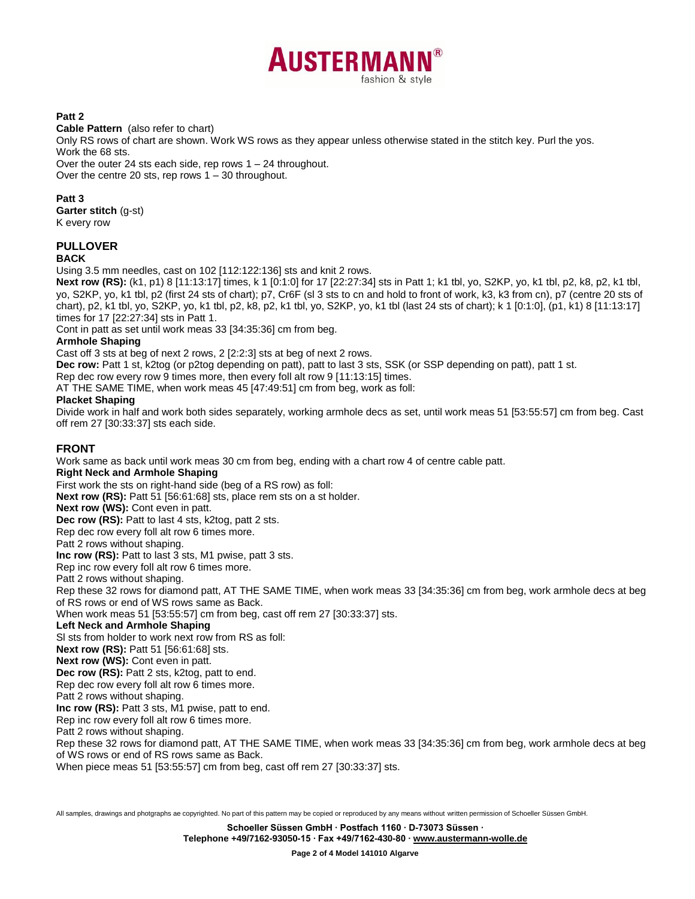

# **Patt 2**

**Cable Pattern** (also refer to chart)

Only RS rows of chart are shown. Work WS rows as they appear unless otherwise stated in the stitch key. Purl the yos. Work the 68 sts.

Over the outer 24 sts each side, rep rows 1 – 24 throughout. Over the centre 20 sts, rep rows 1 – 30 throughout.

#### **Patt 3**

**Garter stitch** (g-st)

K every row

# **PULLOVER**

#### **BACK**

Using 3.5 mm needles, cast on 102 [112:122:136] sts and knit 2 rows.

**Next row (RS):** (k1, p1) 8 [11:13:17] times, k 1 [0:1:0] for 17 [22:27:34] sts in Patt 1; k1 tbl, yo, S2KP, yo, k1 tbl, p2, k8, p2, k1 tbl, yo, S2KP, yo, k1 tbl, p2 (first 24 sts of chart); p7, Cr6F (sl 3 sts to cn and hold to front of work, k3, k3 from cn), p7 (centre 20 sts of chart), p2, k1 tbl, yo, S2KP, yo, k1 tbl, p2, k8, p2, k1 tbl, yo, S2KP, yo, k1 tbl (last 24 sts of chart); k 1 [0:1:0], (p1, k1) 8 [11:13:17] times for 17 [22:27:34] sts in Patt 1.

Cont in patt as set until work meas 33 [34:35:36] cm from beg.

#### **Armhole Shaping**

Cast off 3 sts at beg of next 2 rows, 2 [2:2:3] sts at beg of next 2 rows.

**Dec row:** Patt 1 st, k2tog (or p2tog depending on patt), patt to last 3 sts, SSK (or SSP depending on patt), patt 1 st.

Rep dec row every row 9 times more, then every foll alt row 9 [11:13:15] times.

AT THE SAME TIME, when work meas 45 [47:49:51] cm from beg, work as foll:

#### **Placket Shaping**

Divide work in half and work both sides separately, working armhole decs as set, until work meas 51 [53:55:57] cm from beg. Cast off rem 27 [30:33:37] sts each side.

# **FRONT**

Work same as back until work meas 30 cm from beg, ending with a chart row 4 of centre cable patt. **Right Neck and Armhole Shaping** First work the sts on right-hand side (beg of a RS row) as foll: **Next row (RS):** Patt 51 [56:61:68] sts, place rem sts on a st holder. **Next row (WS):** Cont even in patt. **Dec row (RS):** Patt to last 4 sts, k2tog, patt 2 sts. Rep dec row every foll alt row 6 times more. Patt 2 rows without shaping. **Inc row (RS):** Patt to last 3 sts, M1 pwise, patt 3 sts. Rep inc row every foll alt row 6 times more. Patt 2 rows without shaping. Rep these 32 rows for diamond patt, AT THE SAME TIME, when work meas 33 [34:35:36] cm from beg, work armhole decs at beg of RS rows or end of WS rows same as Back. When work meas 51 [53:55:57] cm from beg, cast off rem 27 [30:33:37] sts. **Left Neck and Armhole Shaping** Sl sts from holder to work next row from RS as foll: **Next row (RS):** Patt 51 [56:61:68] sts. **Next row (WS):** Cont even in patt. **Dec row (RS):** Patt 2 sts, k2tog, patt to end. Rep dec row every foll alt row 6 times more. Patt 2 rows without shaping. **Inc row (RS):** Patt 3 sts, M1 pwise, patt to end. Rep inc row every foll alt row 6 times more. Patt 2 rows without shaping. Rep these 32 rows for diamond patt, AT THE SAME TIME, when work meas 33 [34:35:36] cm from beg, work armhole decs at beg of WS rows or end of RS rows same as Back. When piece meas 51 [53:55:57] cm from beg, cast off rem 27 [30:33:37] sts.

All samples, drawings and photgraphs ae copyrighted. No part of this pattern may be copied or reproduced by any means without written permission of Schoeller Süssen GmbH.

**Schoeller Süssen GmbH ∙ Postfach 1160 ∙ D-73073 Süssen ∙**

**Telephone +49/7162-93050-15 ∙ Fax +49/7162-430-80 [∙ www.austermann-wolle.de](http://www.austermann-wolle.de/)**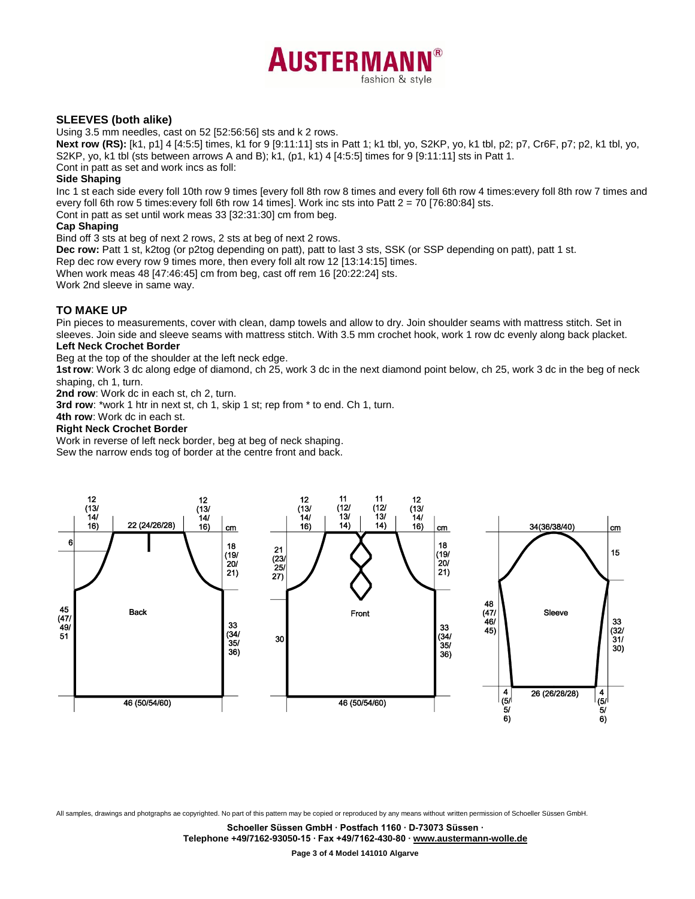

# **SLEEVES (both alike)**

Using 3.5 mm needles, cast on 52 [52:56:56] sts and k 2 rows.

**Next row (RS):** [k1, p1] 4 [4:5:5] times, k1 for 9 [9:11:11] sts in Patt 1; k1 tbl, yo, S2KP, yo, k1 tbl, p2; p7, Cr6F, p7; p2, k1 tbl, yo, S2KP, yo, k1 tbl (sts between arrows A and B); k1, (p1, k1) 4 [4:5:5] times for 9 [9:11:11] sts in Patt 1.

Cont in patt as set and work incs as foll:

## **Side Shaping**

Inc 1 st each side every foll 10th row 9 times [every foll 8th row 8 times and every foll 6th row 4 times:every foll 8th row 7 times and every foll 6th row 5 times:every foll 6th row 14 times]. Work inc sts into Patt 2 = 70 [76:80:84] sts.

Cont in patt as set until work meas 33 [32:31:30] cm from beg.

#### **Cap Shaping**

Bind off 3 sts at beg of next 2 rows, 2 sts at beg of next 2 rows.

**Dec row:** Patt 1 st, k2tog (or p2tog depending on patt), patt to last 3 sts, SSK (or SSP depending on patt), patt 1 st.

Rep dec row every row 9 times more, then every foll alt row 12 [13:14:15] times.

When work meas 48 [47:46:45] cm from beg, cast off rem 16 [20:22:24] sts.

Work 2nd sleeve in same way.

# **TO MAKE UP**

Pin pieces to measurements, cover with clean, damp towels and allow to dry. Join shoulder seams with mattress stitch. Set in sleeves. Join side and sleeve seams with mattress stitch. With 3.5 mm crochet hook, work 1 row dc evenly along back placket. **Left Neck Crochet Border**

# Beg at the top of the shoulder at the left neck edge.

**1strow**: Work 3 dc along edge of diamond, ch 25, work 3 dc in the next diamond point below, ch 25, work 3 dc in the beg of neck shaping, ch 1, turn.

**2nd row**: Work dc in each st, ch 2, turn.

**3rd row**: \*work 1 htr in next st, ch 1, skip 1 st; rep from \* to end. Ch 1, turn.

# **4th row**: Work dc in each st.

#### **Right Neck Crochet Border**

Work in reverse of left neck border, beg at beg of neck shaping. Sew the narrow ends tog of border at the centre front and back.



All samples, drawings and photgraphs ae copyrighted. No part of this pattern may be copied or reproduced by any means without written permission of Schoeller Süssen GmbH.

**Schoeller Süssen GmbH ∙ Postfach 1160 ∙ D-73073 Süssen ∙**

**Telephone +49/7162-93050-15 ∙ Fax +49/7162-430-80 [∙ www.austermann-wolle.de](http://www.austermann-wolle.de/)**

**Page 3 of 4 Model 141010 Algarve**